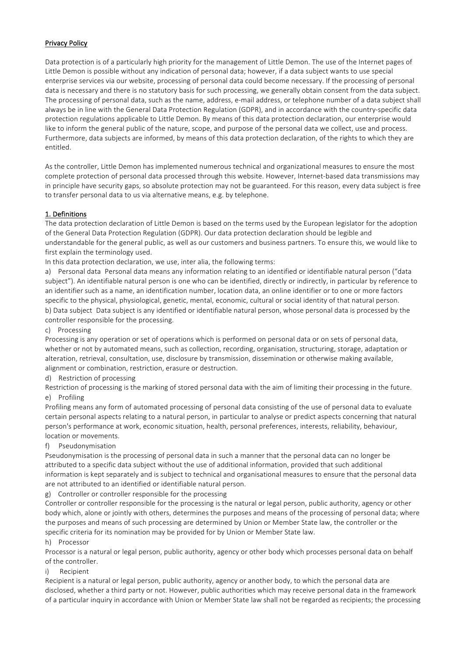# Privacy Policy

Data protection is of a particularly high priority for the management of Little Demon. The use of the Internet pages of Little Demon is possible without any indication of personal data; however, if a data subject wants to use special enterprise services via our website, processing of personal data could become necessary. If the processing of personal data is necessary and there is no statutory basis for such processing, we generally obtain consent from the data subject. The processing of personal data, such as the name, address, e-mail address, or telephone number of a data subject shall always be in line with the General Data Protection Regulation (GDPR), and in accordance with the country-specific data protection regulations applicable to Little Demon. By means of this data protection declaration, our enterprise would like to inform the general public of the nature, scope, and purpose of the personal data we collect, use and process. Furthermore, data subjects are informed, by means of this data protection declaration, of the rights to which they are entitled.

As the controller, Little Demon has implemented numerous technical and organizational measures to ensure the most complete protection of personal data processed through this website. However, Internet-based data transmissions may in principle have security gaps, so absolute protection may not be guaranteed. For this reason, every data subject is free to transfer personal data to us via alternative means, e.g. by telephone.

# 1. Definitions

The data protection declaration of Little Demon is based on the terms used by the European legislator for the adoption of the General Data Protection Regulation (GDPR). Our data protection declaration should be legible and understandable for the general public, as well as our customers and business partners. To ensure this, we would like to first explain the terminology used.

In this data protection declaration, we use, inter alia, the following terms:

a) Personal data Personal data means any information relating to an identified or identifiable natural person ("data subject"). An identifiable natural person is one who can be identified, directly or indirectly, in particular by reference to an identifier such as a name, an identification number, location data, an online identifier or to one or more factors specific to the physical, physiological, genetic, mental, economic, cultural or social identity of that natural person. b) Data subject Data subject is any identified or identifiable natural person, whose personal data is processed by the controller responsible for the processing.

c) Processing

Processing is any operation or set of operations which is performed on personal data or on sets of personal data, whether or not by automated means, such as collection, recording, organisation, structuring, storage, adaptation or alteration, retrieval, consultation, use, disclosure by transmission, dissemination or otherwise making available, alignment or combination, restriction, erasure or destruction.

d) Restriction of processing

Restriction of processing is the marking of stored personal data with the aim of limiting their processing in the future. e) Profiling

Profiling means any form of automated processing of personal data consisting of the use of personal data to evaluate certain personal aspects relating to a natural person, in particular to analyse or predict aspects concerning that natural person's performance at work, economic situation, health, personal preferences, interests, reliability, behaviour, location or movements.

# f) Pseudonymisation

Pseudonymisation is the processing of personal data in such a manner that the personal data can no longer be attributed to a specific data subject without the use of additional information, provided that such additional information is kept separately and is subject to technical and organisational measures to ensure that the personal data are not attributed to an identified or identifiable natural person.

g) Controller or controller responsible for the processing

Controller or controller responsible for the processing is the natural or legal person, public authority, agency or other body which, alone or jointly with others, determines the purposes and means of the processing of personal data; where the purposes and means of such processing are determined by Union or Member State law, the controller or the specific criteria for its nomination may be provided for by Union or Member State law.

h) Processor

Processor is a natural or legal person, public authority, agency or other body which processes personal data on behalf of the controller.

i) Recipient

Recipient is a natural or legal person, public authority, agency or another body, to which the personal data are disclosed, whether a third party or not. However, public authorities which may receive personal data in the framework of a particular inquiry in accordance with Union or Member State law shall not be regarded as recipients; the processing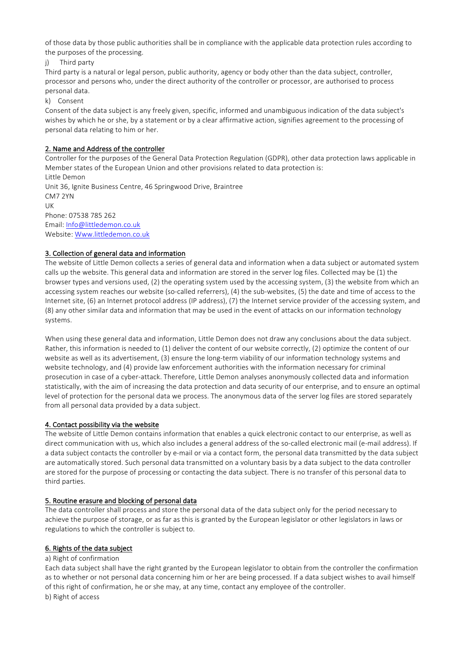of those data by those public authorities shall be in compliance with the applicable data protection rules according to the purposes of the processing.

j) Third party

Third party is a natural or legal person, public authority, agency or body other than the data subject, controller, processor and persons who, under the direct authority of the controller or processor, are authorised to process personal data.

k) Consent

Consent of the data subject is any freely given, specific, informed and unambiguous indication of the data subject's wishes by which he or she, by a statement or by a clear affirmative action, signifies agreement to the processing of personal data relating to him or her.

# 2. Name and Address of the controller

Controller for the purposes of the General Data Protection Regulation (GDPR), other data protection laws applicable in Member states of the European Union and other provisions related to data protection is:

Little Demon Unit 36, Ignite Business Centre, 46 Springwood Drive, Braintree CM7 2YN UK Phone: 07538 785 262 Email: Info@littledemon.co.uk Website: Www.littledemon.co.uk

# 3. Collection of general data and information

The website of Little Demon collects a series of general data and information when a data subject or automated system calls up the website. This general data and information are stored in the server log files. Collected may be (1) the browser types and versions used, (2) the operating system used by the accessing system, (3) the website from which an accessing system reaches our website (so-called referrers), (4) the sub-websites, (5) the date and time of access to the Internet site, (6) an Internet protocol address (IP address), (7) the Internet service provider of the accessing system, and (8) any other similar data and information that may be used in the event of attacks on our information technology systems.

When using these general data and information, Little Demon does not draw any conclusions about the data subject. Rather, this information is needed to (1) deliver the content of our website correctly, (2) optimize the content of our website as well as its advertisement, (3) ensure the long-term viability of our information technology systems and website technology, and (4) provide law enforcement authorities with the information necessary for criminal prosecution in case of a cyber-attack. Therefore, Little Demon analyses anonymously collected data and information statistically, with the aim of increasing the data protection and data security of our enterprise, and to ensure an optimal level of protection for the personal data we process. The anonymous data of the server log files are stored separately from all personal data provided by a data subject.

# 4. Contact possibility via the website

The website of Little Demon contains information that enables a quick electronic contact to our enterprise, as well as direct communication with us, which also includes a general address of the so-called electronic mail (e-mail address). If a data subject contacts the controller by e-mail or via a contact form, the personal data transmitted by the data subject are automatically stored. Such personal data transmitted on a voluntary basis by a data subject to the data controller are stored for the purpose of processing or contacting the data subject. There is no transfer of this personal data to third parties.

## 5. Routine erasure and blocking of personal data

The data controller shall process and store the personal data of the data subject only for the period necessary to achieve the purpose of storage, or as far as this is granted by the European legislator or other legislators in laws or regulations to which the controller is subject to.

## 6. Rights of the data subject

## a) Right of confirmation

Each data subject shall have the right granted by the European legislator to obtain from the controller the confirmation as to whether or not personal data concerning him or her are being processed. If a data subject wishes to avail himself of this right of confirmation, he or she may, at any time, contact any employee of the controller. b) Right of access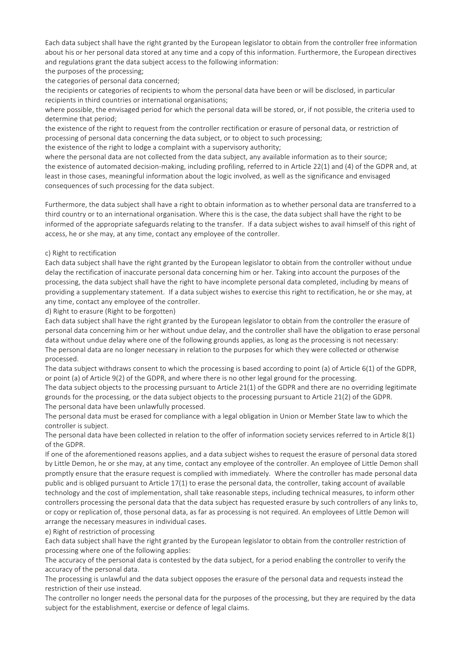Each data subject shall have the right granted by the European legislator to obtain from the controller free information about his or her personal data stored at any time and a copy of this information. Furthermore, the European directives and regulations grant the data subject access to the following information:

the purposes of the processing;

the categories of personal data concerned;

the recipients or categories of recipients to whom the personal data have been or will be disclosed, in particular recipients in third countries or international organisations:

where possible, the envisaged period for which the personal data will be stored, or, if not possible, the criteria used to determine that period;

the existence of the right to request from the controller rectification or erasure of personal data, or restriction of processing of personal data concerning the data subject, or to object to such processing;

the existence of the right to lodge a complaint with a supervisory authority;

where the personal data are not collected from the data subject, any available information as to their source; the existence of automated decision-making, including profiling, referred to in Article 22(1) and (4) of the GDPR and, at least in those cases, meaningful information about the logic involved, as well as the significance and envisaged consequences of such processing for the data subject.

Furthermore, the data subject shall have a right to obtain information as to whether personal data are transferred to a third country or to an international organisation. Where this is the case, the data subject shall have the right to be informed of the appropriate safeguards relating to the transfer. If a data subject wishes to avail himself of this right of access, he or she may, at any time, contact any employee of the controller.

## c) Right to rectification

Each data subject shall have the right granted by the European legislator to obtain from the controller without undue delay the rectification of inaccurate personal data concerning him or her. Taking into account the purposes of the processing, the data subject shall have the right to have incomplete personal data completed, including by means of providing a supplementary statement. If a data subject wishes to exercise this right to rectification, he or she may, at any time, contact any employee of the controller.

d) Right to erasure (Right to be forgotten)

Each data subject shall have the right granted by the European legislator to obtain from the controller the erasure of personal data concerning him or her without undue delay, and the controller shall have the obligation to erase personal data without undue delay where one of the following grounds applies, as long as the processing is not necessary: The personal data are no longer necessary in relation to the purposes for which they were collected or otherwise processed.

The data subject withdraws consent to which the processing is based according to point (a) of Article  $6(1)$  of the GDPR, or point (a) of Article 9(2) of the GDPR, and where there is no other legal ground for the processing.

The data subject objects to the processing pursuant to Article  $21(1)$  of the GDPR and there are no overriding legitimate grounds for the processing, or the data subject objects to the processing pursuant to Article  $21(2)$  of the GDPR. The personal data have been unlawfully processed.

The personal data must be erased for compliance with a legal obligation in Union or Member State law to which the controller is subject.

The personal data have been collected in relation to the offer of information society services referred to in Article  $8(1)$ of the GDPR.

If one of the aforementioned reasons applies, and a data subject wishes to request the erasure of personal data stored by Little Demon, he or she may, at any time, contact any employee of the controller. An employee of Little Demon shall promptly ensure that the erasure request is complied with immediately. Where the controller has made personal data public and is obliged pursuant to Article 17(1) to erase the personal data, the controller, taking account of available technology and the cost of implementation, shall take reasonable steps, including technical measures, to inform other controllers processing the personal data that the data subject has requested erasure by such controllers of any links to, or copy or replication of, those personal data, as far as processing is not required. An employees of Little Demon will arrange the necessary measures in individual cases.

e) Right of restriction of processing

Each data subject shall have the right granted by the European legislator to obtain from the controller restriction of processing where one of the following applies:

The accuracy of the personal data is contested by the data subject, for a period enabling the controller to verify the accuracy of the personal data.

The processing is unlawful and the data subject opposes the erasure of the personal data and requests instead the restriction of their use instead.

The controller no longer needs the personal data for the purposes of the processing, but they are required by the data subject for the establishment, exercise or defence of legal claims.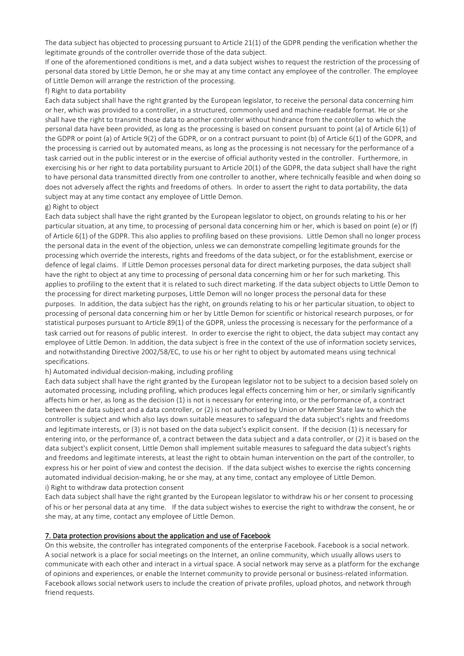The data subject has objected to processing pursuant to Article  $21(1)$  of the GDPR pending the verification whether the legitimate grounds of the controller override those of the data subject.

If one of the aforementioned conditions is met, and a data subject wishes to request the restriction of the processing of personal data stored by Little Demon, he or she may at any time contact any employee of the controller. The employee of Little Demon will arrange the restriction of the processing.

#### f) Right to data portability

Each data subject shall have the right granted by the European legislator, to receive the personal data concerning him or her, which was provided to a controller, in a structured, commonly used and machine-readable format. He or she shall have the right to transmit those data to another controller without hindrance from the controller to which the personal data have been provided, as long as the processing is based on consent pursuant to point (a) of Article  $6(1)$  of the GDPR or point (a) of Article  $9(2)$  of the GDPR, or on a contract pursuant to point (b) of Article  $6(1)$  of the GDPR, and the processing is carried out by automated means, as long as the processing is not necessary for the performance of a task carried out in the public interest or in the exercise of official authority vested in the controller. Furthermore, in exercising his or her right to data portability pursuant to Article 20(1) of the GDPR, the data subject shall have the right to have personal data transmitted directly from one controller to another, where technically feasible and when doing so does not adversely affect the rights and freedoms of others. In order to assert the right to data portability, the data subject may at any time contact any employee of Little Demon.

#### g) Right to object

Each data subject shall have the right granted by the European legislator to object, on grounds relating to his or her particular situation, at any time, to processing of personal data concerning him or her, which is based on point (e) or (f) of Article 6(1) of the GDPR. This also applies to profiling based on these provisions. Little Demon shall no longer process the personal data in the event of the objection, unless we can demonstrate compelling legitimate grounds for the processing which override the interests, rights and freedoms of the data subject, or for the establishment, exercise or defence of legal claims. If Little Demon processes personal data for direct marketing purposes, the data subject shall have the right to object at any time to processing of personal data concerning him or her for such marketing. This applies to profiling to the extent that it is related to such direct marketing. If the data subject objects to Little Demon to the processing for direct marketing purposes, Little Demon will no longer process the personal data for these purposes. In addition, the data subject has the right, on grounds relating to his or her particular situation, to object to processing of personal data concerning him or her by Little Demon for scientific or historical research purposes, or for statistical purposes pursuant to Article  $89(1)$  of the GDPR, unless the processing is necessary for the performance of a task carried out for reasons of public interest. In order to exercise the right to object, the data subject may contact any employee of Little Demon. In addition, the data subject is free in the context of the use of information society services, and notwithstanding Directive 2002/58/EC, to use his or her right to object by automated means using technical specifications.

## h) Automated individual decision-making, including profiling

Each data subject shall have the right granted by the European legislator not to be subject to a decision based solely on automated processing, including profiling, which produces legal effects concerning him or her, or similarly significantly affects him or her, as long as the decision (1) is not is necessary for entering into, or the performance of, a contract between the data subject and a data controller, or (2) is not authorised by Union or Member State law to which the controller is subject and which also lays down suitable measures to safeguard the data subject's rights and freedoms and legitimate interests, or  $(3)$  is not based on the data subject's explicit consent. If the decision  $(1)$  is necessary for entering into, or the performance of, a contract between the data subject and a data controller, or (2) it is based on the data subject's explicit consent, Little Demon shall implement suitable measures to safeguard the data subject's rights and freedoms and legitimate interests, at least the right to obtain human intervention on the part of the controller, to express his or her point of view and contest the decision. If the data subject wishes to exercise the rights concerning automated individual decision-making, he or she may, at any time, contact any employee of Little Demon.

i) Right to withdraw data protection consent

Each data subject shall have the right granted by the European legislator to withdraw his or her consent to processing of his or her personal data at any time. If the data subject wishes to exercise the right to withdraw the consent, he or she may, at any time, contact any employee of Little Demon.

#### 7. Data protection provisions about the application and use of Facebook

On this website, the controller has integrated components of the enterprise Facebook. Facebook is a social network. A social network is a place for social meetings on the Internet, an online community, which usually allows users to communicate with each other and interact in a virtual space. A social network may serve as a platform for the exchange of opinions and experiences, or enable the Internet community to provide personal or business-related information. Facebook allows social network users to include the creation of private profiles, upload photos, and network through friend requests.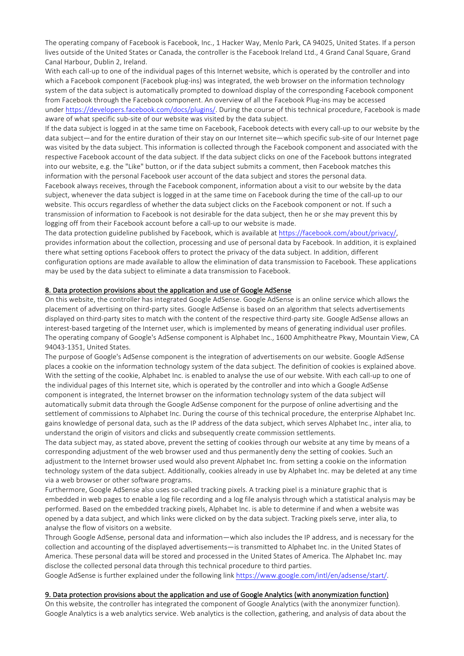The operating company of Facebook is Facebook, Inc., 1 Hacker Way, Menlo Park, CA 94025, United States. If a person lives outside of the United States or Canada, the controller is the Facebook Ireland Ltd., 4 Grand Canal Square, Grand Canal Harbour, Dublin 2, Ireland.

With each call-up to one of the individual pages of this Internet website, which is operated by the controller and into which a Facebook component (Facebook plug-ins) was integrated, the web browser on the information technology system of the data subject is automatically prompted to download display of the corresponding Facebook component from Facebook through the Facebook component. An overview of all the Facebook Plug-ins may be accessed under https://developers.facebook.com/docs/plugins/. During the course of this technical procedure, Facebook is made aware of what specific sub-site of our website was visited by the data subject.

If the data subject is logged in at the same time on Facebook, Facebook detects with every call-up to our website by the data subject—and for the entire duration of their stay on our Internet site—which specific sub-site of our Internet page was visited by the data subject. This information is collected through the Facebook component and associated with the respective Facebook account of the data subject. If the data subject clicks on one of the Facebook buttons integrated into our website, e.g. the "Like" button, or if the data subject submits a comment, then Facebook matches this information with the personal Facebook user account of the data subject and stores the personal data.

Facebook always receives, through the Facebook component, information about a visit to our website by the data subject, whenever the data subject is logged in at the same time on Facebook during the time of the call-up to our website. This occurs regardless of whether the data subject clicks on the Facebook component or not. If such a transmission of information to Facebook is not desirable for the data subject, then he or she may prevent this by logging off from their Facebook account before a call-up to our website is made.

The data protection guideline published by Facebook, which is available at https://facebook.com/about/privacy/, provides information about the collection, processing and use of personal data by Facebook. In addition, it is explained there what setting options Facebook offers to protect the privacy of the data subject. In addition, different configuration options are made available to allow the elimination of data transmission to Facebook. These applications may be used by the data subiect to eliminate a data transmission to Facebook.

#### 8. Data protection provisions about the application and use of Google AdSense

On this website, the controller has integrated Google AdSense. Google AdSense is an online service which allows the placement of advertising on third-party sites. Google AdSense is based on an algorithm that selects advertisements displayed on third-party sites to match with the content of the respective third-party site. Google AdSense allows an interest-based targeting of the Internet user, which is implemented by means of generating individual user profiles. The operating company of Google's AdSense component is Alphabet Inc., 1600 Amphitheatre Pkwy, Mountain View, CA 94043-1351, United States.

The purpose of Google's AdSense component is the integration of advertisements on our website. Google AdSense places a cookie on the information technology system of the data subject. The definition of cookies is explained above. With the setting of the cookie, Alphabet Inc. is enabled to analyse the use of our website. With each call-up to one of the individual pages of this Internet site, which is operated by the controller and into which a Google AdSense component is integrated, the Internet browser on the information technology system of the data subject will automatically submit data through the Google AdSense component for the purpose of online advertising and the settlement of commissions to Alphabet Inc. During the course of this technical procedure, the enterprise Alphabet Inc. gains knowledge of personal data, such as the IP address of the data subject, which serves Alphabet Inc., inter alia, to understand the origin of visitors and clicks and subsequently create commission settlements.

The data subject may, as stated above, prevent the setting of cookies through our website at any time by means of a corresponding adjustment of the web browser used and thus permanently deny the setting of cookies. Such an adjustment to the Internet browser used would also prevent Alphabet Inc. from setting a cookie on the information technology system of the data subject. Additionally, cookies already in use by Alphabet Inc. may be deleted at any time via a web browser or other software programs.

Furthermore, Google AdSense also uses so-called tracking pixels. A tracking pixel is a miniature graphic that is embedded in web pages to enable a log file recording and a log file analysis through which a statistical analysis may be performed. Based on the embedded tracking pixels, Alphabet Inc. is able to determine if and when a website was opened by a data subject, and which links were clicked on by the data subject. Tracking pixels serve, inter alia, to analyse the flow of visitors on a website.

Through Google AdSense, personal data and information—which also includes the IP address, and is necessary for the collection and accounting of the displayed advertisements—is transmitted to Alphabet Inc. in the United States of America. These personal data will be stored and processed in the United States of America. The Alphabet Inc. may disclose the collected personal data through this technical procedure to third parties.

Google AdSense is further explained under the following link https://www.google.com/intl/en/adsense/start/.

#### 9. Data protection provisions about the application and use of Google Analytics (with anonymization function)

On this website, the controller has integrated the component of Google Analytics (with the anonymizer function). Google Analytics is a web analytics service. Web analytics is the collection, gathering, and analysis of data about the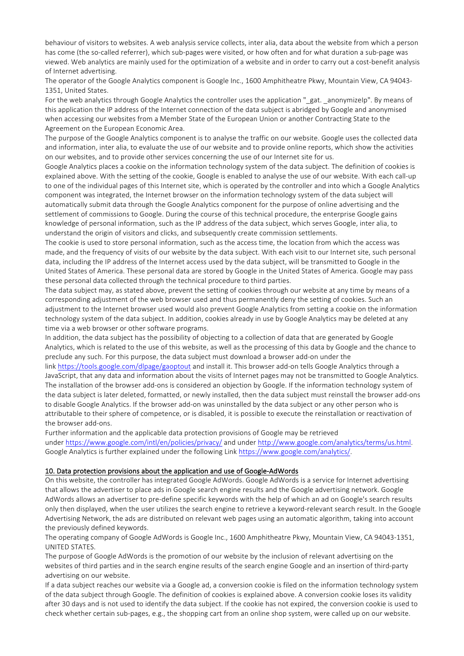behaviour of visitors to websites. A web analysis service collects, inter alia, data about the website from which a person has come (the so-called referrer), which sub-pages were visited, or how often and for what duration a sub-page was viewed. Web analytics are mainly used for the optimization of a website and in order to carry out a cost-benefit analysis of Internet advertising.

The operator of the Google Analytics component is Google Inc., 1600 Amphitheatre Pkwy, Mountain View, CA 94043-1351, United States.

For the web analytics through Google Analytics the controller uses the application " gat. anonymizeIp". By means of this application the IP address of the Internet connection of the data subject is abridged by Google and anonymised when accessing our websites from a Member State of the European Union or another Contracting State to the Agreement on the European Economic Area.

The purpose of the Google Analytics component is to analyse the traffic on our website. Google uses the collected data and information, inter alia, to evaluate the use of our website and to provide online reports, which show the activities on our websites, and to provide other services concerning the use of our Internet site for us.

Google Analytics places a cookie on the information technology system of the data subject. The definition of cookies is explained above. With the setting of the cookie, Google is enabled to analyse the use of our website. With each call-up to one of the individual pages of this Internet site, which is operated by the controller and into which a Google Analytics component was integrated, the Internet browser on the information technology system of the data subject will automatically submit data through the Google Analytics component for the purpose of online advertising and the settlement of commissions to Google. During the course of this technical procedure, the enterprise Google gains knowledge of personal information, such as the IP address of the data subject, which serves Google, inter alia, to understand the origin of visitors and clicks, and subsequently create commission settlements.

The cookie is used to store personal information, such as the access time, the location from which the access was made, and the frequency of visits of our website by the data subject. With each visit to our Internet site, such personal data, including the IP address of the Internet access used by the data subject, will be transmitted to Google in the United States of America. These personal data are stored by Google in the United States of America. Google may pass these personal data collected through the technical procedure to third parties.

The data subject may, as stated above, prevent the setting of cookies through our website at any time by means of a corresponding adjustment of the web browser used and thus permanently deny the setting of cookies. Such an adjustment to the Internet browser used would also prevent Google Analytics from setting a cookie on the information technology system of the data subject. In addition, cookies already in use by Google Analytics may be deleted at any time via a web browser or other software programs.

In addition, the data subject has the possibility of objecting to a collection of data that are generated by Google Analytics, which is related to the use of this website, as well as the processing of this data by Google and the chance to preclude any such. For this purpose, the data subject must download a browser add-on under the link https://tools.google.com/dlpage/gaoptout and install it. This browser add-on tells Google Analytics through a JavaScript, that any data and information about the visits of Internet pages may not be transmitted to Google Analytics. The installation of the browser add-ons is considered an objection by Google. If the information technology system of the data subject is later deleted, formatted, or newly installed, then the data subject must reinstall the browser add-ons to disable Google Analytics. If the browser add-on was uninstalled by the data subject or any other person who is attributable to their sphere of competence, or is disabled, it is possible to execute the reinstallation or reactivation of the browser add-ons.

Further information and the applicable data protection provisions of Google may be retrieved under https://www.google.com/intl/en/policies/privacy/ and under http://www.google.com/analytics/terms/us.html. Google Analytics is further explained under the following Link https://www.google.com/analytics/.

## 10. Data protection provisions about the application and use of Google-AdWords

On this website, the controller has integrated Google AdWords. Google AdWords is a service for Internet advertising that allows the advertiser to place ads in Google search engine results and the Google advertising network. Google AdWords allows an advertiser to pre-define specific keywords with the help of which an ad on Google's search results only then displayed, when the user utilizes the search engine to retrieve a keyword-relevant search result. In the Google Advertising Network, the ads are distributed on relevant web pages using an automatic algorithm, taking into account the previously defined keywords.

The operating company of Google AdWords is Google Inc., 1600 Amphitheatre Pkwy, Mountain View, CA 94043-1351, UNITED STATES.

The purpose of Google AdWords is the promotion of our website by the inclusion of relevant advertising on the websites of third parties and in the search engine results of the search engine Google and an insertion of third-party advertising on our website.

If a data subject reaches our website via a Google ad, a conversion cookie is filed on the information technology system of the data subject through Google. The definition of cookies is explained above. A conversion cookie loses its validity after 30 days and is not used to identify the data subject. If the cookie has not expired, the conversion cookie is used to check whether certain sub-pages, e.g., the shopping cart from an online shop system, were called up on our website.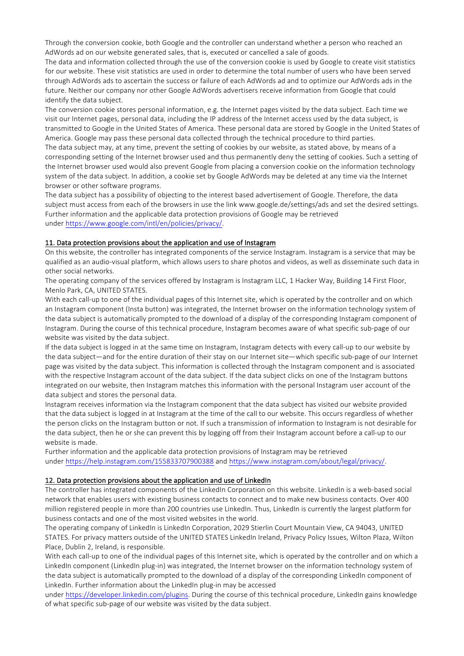Through the conversion cookie, both Google and the controller can understand whether a person who reached an AdWords ad on our website generated sales, that is, executed or cancelled a sale of goods.

The data and information collected through the use of the conversion cookie is used by Google to create visit statistics for our website. These visit statistics are used in order to determine the total number of users who have been served through AdWords ads to ascertain the success or failure of each AdWords ad and to optimize our AdWords ads in the future. Neither our company nor other Google AdWords advertisers receive information from Google that could identify the data subject.

The conversion cookie stores personal information, e.g. the Internet pages visited by the data subject. Each time we visit our Internet pages, personal data, including the IP address of the Internet access used by the data subject, is transmitted to Google in the United States of America. These personal data are stored by Google in the United States of America. Google may pass these personal data collected through the technical procedure to third parties.

The data subject may, at any time, prevent the setting of cookies by our website, as stated above, by means of a corresponding setting of the Internet browser used and thus permanently deny the setting of cookies. Such a setting of the Internet browser used would also prevent Google from placing a conversion cookie on the information technology system of the data subject. In addition, a cookie set by Google AdWords may be deleted at any time via the Internet browser or other software programs.

The data subject has a possibility of objecting to the interest based advertisement of Google. Therefore, the data subject must access from each of the browsers in use the link www.google.de/settings/ads and set the desired settings. Further information and the applicable data protection provisions of Google may be retrieved under https://www.google.com/intl/en/policies/privacy/.

## 11. Data protection provisions about the application and use of Instagram

On this website, the controller has integrated components of the service Instagram. Instagram is a service that may be qualified as an audio-visual platform, which allows users to share photos and videos, as well as disseminate such data in other social networks.

The operating company of the services offered by Instagram is Instagram LLC, 1 Hacker Way, Building 14 First Floor, Menlo Park, CA, UNITED STATES.

With each call-up to one of the individual pages of this Internet site, which is operated by the controller and on which an Instagram component (Insta button) was integrated, the Internet browser on the information technology system of the data subject is automatically prompted to the download of a display of the corresponding Instagram component of Instagram. During the course of this technical procedure, Instagram becomes aware of what specific sub-page of our website was visited by the data subject.

If the data subject is logged in at the same time on Instagram, Instagram detects with every call-up to our website by the data subject—and for the entire duration of their stay on our Internet site—which specific sub-page of our Internet page was visited by the data subject. This information is collected through the Instagram component and is associated with the respective Instagram account of the data subject. If the data subject clicks on one of the Instagram buttons integrated on our website, then Instagram matches this information with the personal Instagram user account of the data subject and stores the personal data.

Instagram receives information via the Instagram component that the data subject has visited our website provided that the data subject is logged in at Instagram at the time of the call to our website. This occurs regardless of whether the person clicks on the Instagram button or not. If such a transmission of information to Instagram is not desirable for the data subject, then he or she can prevent this by logging off from their Instagram account before a call-up to our website is made.

Further information and the applicable data protection provisions of Instagram may be retrieved under https://help.instagram.com/155833707900388 and https://www.instagram.com/about/legal/privacy/.

## 12. Data protection provisions about the application and use of LinkedIn

The controller has integrated components of the LinkedIn Corporation on this website. LinkedIn is a web-based social network that enables users with existing business contacts to connect and to make new business contacts. Over 400 million registered people in more than 200 countries use LinkedIn. Thus, LinkedIn is currently the largest platform for business contacts and one of the most visited websites in the world.

The operating company of LinkedIn is LinkedIn Corporation, 2029 Stierlin Court Mountain View, CA 94043, UNITED STATES. For privacy matters outside of the UNITED STATES LinkedIn Ireland, Privacy Policy Issues, Wilton Plaza, Wilton Place, Dublin 2, Ireland, is responsible.

With each call-up to one of the individual pages of this Internet site, which is operated by the controller and on which a LinkedIn component (LinkedIn plug-in) was integrated, the Internet browser on the information technology system of the data subject is automatically prompted to the download of a display of the corresponding LinkedIn component of LinkedIn. Further information about the LinkedIn plug-in may be accessed

under https://developer.linkedin.com/plugins. During the course of this technical procedure, LinkedIn gains knowledge of what specific sub-page of our website was visited by the data subject.